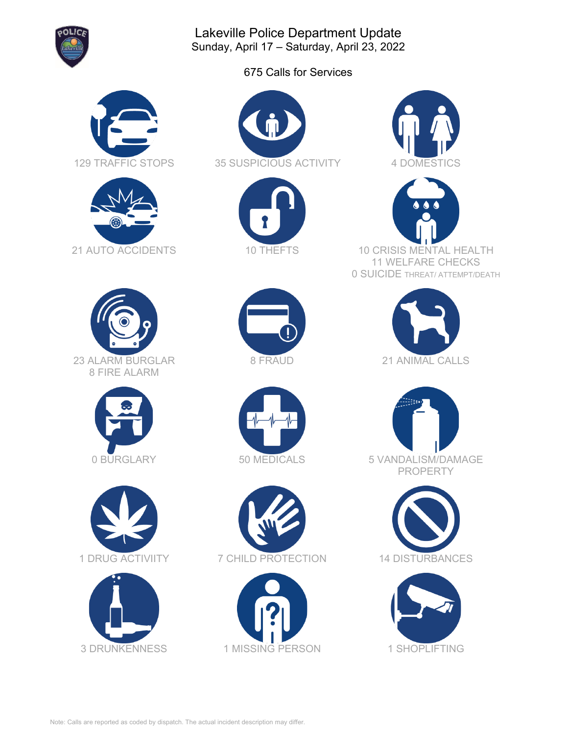

Lakeville Police Department Update Sunday, April 17 – Saturday, April 23, 2022

675 Calls for Services













21 AUTO ACCIDENTS 10 THEFTS 10 CRISIS MENTAL HEALTH 11 WELFARE CHECKS 0 SUICIDE THREAT/ ATTEMPT/DEATH

























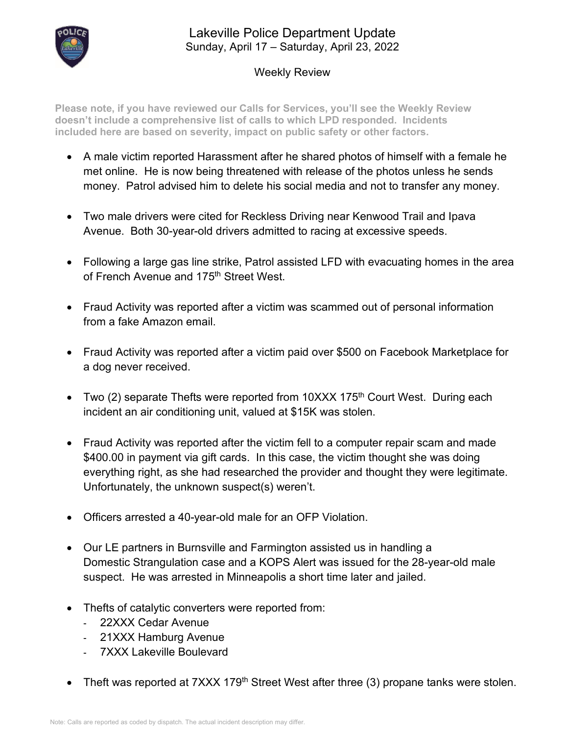

## Weekly Review

**Please note, if you have reviewed our Calls for Services, you'll see the Weekly Review doesn't include a comprehensive list of calls to which LPD responded. Incidents included here are based on severity, impact on public safety or other factors.**

- A male victim reported Harassment after he shared photos of himself with a female he met online. He is now being threatened with release of the photos unless he sends money. Patrol advised him to delete his social media and not to transfer any money.
- Two male drivers were cited for Reckless Driving near Kenwood Trail and Ipava Avenue. Both 30-year-old drivers admitted to racing at excessive speeds.
- Following a large gas line strike, Patrol assisted LFD with evacuating homes in the area of French Avenue and 175<sup>th</sup> Street West.
- Fraud Activity was reported after a victim was scammed out of personal information from a fake Amazon email.
- Fraud Activity was reported after a victim paid over \$500 on Facebook Marketplace for a dog never received.
- Two (2) separate Thefts were reported from 10XXX 175<sup>th</sup> Court West. During each incident an air conditioning unit, valued at \$15K was stolen.
- Fraud Activity was reported after the victim fell to a computer repair scam and made \$400.00 in payment via gift cards. In this case, the victim thought she was doing everything right, as she had researched the provider and thought they were legitimate. Unfortunately, the unknown suspect(s) weren't.
- Officers arrested a 40-year-old male for an OFP Violation.
- Our LE partners in Burnsville and Farmington assisted us in handling a Domestic Strangulation case and a KOPS Alert was issued for the 28-year-old male suspect. He was arrested in Minneapolis a short time later and jailed.
- Thefts of catalytic converters were reported from:
	- 22XXX Cedar Avenue
	- 21XXX Hamburg Avenue
	- 7XXX Lakeville Boulevard
- Theft was reported at  $7XXX$  179<sup>th</sup> Street West after three (3) propane tanks were stolen.